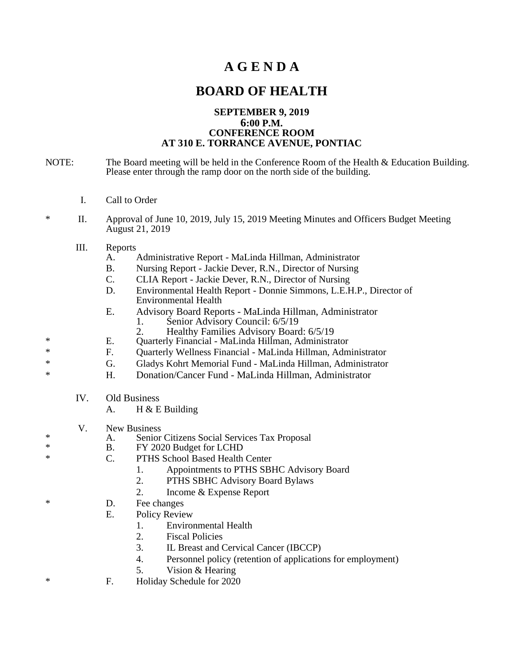## **A G E N D A**

## **BOARD OF HEALTH**

## **SEPTEMBER 9, 2019 6:00 P.M. CONFERENCE ROOM AT 310 E. TORRANCE AVENUE, PONTIAC**

- NOTE: The Board meeting will be held in the Conference Room of the Health & Education Building. Please enter through the ramp door on the north side of the building.
	- I. Call to Order
- \* II. Approval of June 10, 2019, July 15, 2019 Meeting Minutes and Officers Budget Meeting August 21, 2019
	- III. Reports
		- A. Administrative Report MaLinda Hillman, Administrator
		- B. Nursing Report Jackie Dever, R.N., Director of Nursing
		- C. CLIA Report Jackie Dever, R.N., Director of Nursing
		- D. Environmental Health Report Donnie Simmons, L.E.H.P., Director of Environmental Health
		- E. Advisory Board Reports MaLinda Hillman, Administrator
			- 1. Senior Advisory Council: 6/5/19
			- 2. Healthy Families Advisory Board: 6/5/19
- \* E. Quarterly Financial MaLinda Hillman, Administrator
- \* F. Quarterly Wellness Financial MaLinda Hillman, Administrator
- \* G. Gladys Kohrt Memorial Fund MaLinda Hillman, Administrator
- \* H. Donation/Cancer Fund MaLinda Hillman, Administrator
	- IV. Old Business
		- A. H & E Building
	- V. New Business<br>A. Senior
- \* A. Senior Citizens Social Services Tax Proposal<br>
\* B. FY 2020 Budget for LCHD
	- FY 2020 Budget for LCHD
- C. PTHS School Based Health Center
	- 1. Appointments to PTHS SBHC Advisory Board
	- 2. PTHS SBHC Advisory Board Bylaws
	- 2. Income & Expense Report
- \* D. Fee changes
	- E. Policy Review
		- 1. Environmental Health
		- 2. Fiscal Policies
		- 3. IL Breast and Cervical Cancer (IBCCP)
		- 4. Personnel policy (retention of applications for employment)
		- 5. Vision & Hearing
- \* F. Holiday Schedule for 2020
-